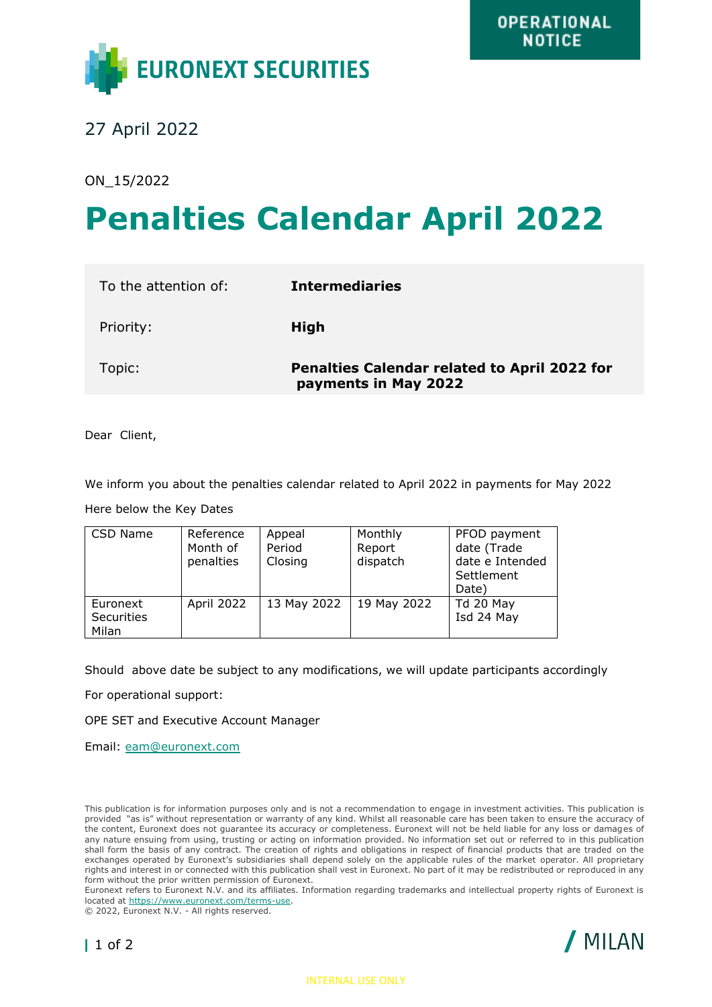

27 April 2022

ON\_15/2022

## **Penalties Calendar April 2022**

| To the attention of: | <b>Intermediaries</b>                                                       |
|----------------------|-----------------------------------------------------------------------------|
| Priority:            | <b>High</b>                                                                 |
| Topic:               | <b>Penalties Calendar related to April 2022 for</b><br>payments in May 2022 |

Dear Client,

We inform you about the penalties calendar related to April 2022 in payments for May 2022

Here below the Key Dates

| CSD Name                               | Reference<br>Month of<br>penalties | Appeal<br>Period<br>Closing | Monthly<br>Report<br>dispatch | PFOD payment<br>date (Trade<br>date e Intended<br>Settlement<br>Date) |
|----------------------------------------|------------------------------------|-----------------------------|-------------------------------|-----------------------------------------------------------------------|
| Euronext<br><b>Securities</b><br>Milan | April 2022                         | 13 May 2022                 | 19 May 2022                   | Td 20 May<br>Isd 24 May                                               |

Should above date be subject to any modifications, we will update participants accordingly

For operational support:

OPE SET and Executive Account Manager

Email: [eam@euronext.com](mailto:eam@euronext.com)

This publication is for information purposes only and is not a recommendation to engage in investment activities. This publication is provided "as is" without representation or warranty of any kind. Whilst all reasonable care has been taken to ensure the accuracy of the content, Euronext does not guarantee its accuracy or completeness. Euronext will not be held liable for any loss or damages of any nature ensuing from using, trusting or acting on information provided. No information set out or referred to in this publication shall form the basis of any contract. The creation of rights and obligations in respect of financial products that are traded on the exchanges operated by Euronext's subsidiaries shall depend solely on the applicable rules of the market operator. All proprietary rights and interest in or connected with this publication shall vest in Euronext. No part of it may be redistributed or reproduced in any form without the prior written permission of Euronext.

Euronext refers to Euronext N.V. and its affiliates. Information regarding trademarks and intellectual property rights of Euronext is located at [https://www.euronext.com/terms-use.](https://www.euronext.com/terms-use)

© 2022, Euronext N.V. - All rights reserved.